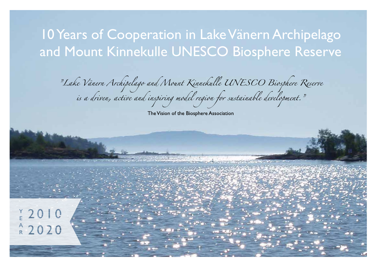# 10 Years of Cooperation in Lake Vänern Archipelago and Mount Kinnekulle UNESCO Biosphere Reserve

"Lake Vänern Archipelago and Mount Kinnekulle UNESCO Biosphere Reserve"<br>is a driven, active and inspiring model region for sustainable development."

The Vision of the Biosphere Association

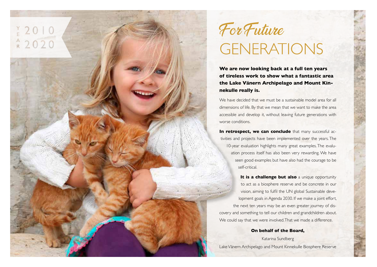

 $\begin{array}{c} \n \ \, \text{Y} \, 2010 \end{array}$ 

 $A 2020$ 

**We are now looking back at a full ten years of tireless work to show what a fantastic area the Lake Vänern Archipelago and Mount Kinnekulle really is.** 

We have decided that we must be a sustainable model area for all dimensions of life. By that we mean that we want to make the area accessible and develop it, without leaving future generations with worse conditions.

**In retrospect, we can conclude** that many successful activities and projects have been implemented over the years. The 10-year evaluation highlights many great examples. The evaluation process itself has also been very rewarding. We have seen good examples but have also had the courage to be self-critical.

**It is a challenge but also** a unique opportunity to act as a biosphere reserve and be concrete in our vision, aiming to fulfil the UN global Sustainable development goals in Agenda 2030. If we make a joint effort, the next ten years may be an even greater journey of discovery and something to tell our children and grandchildren about. We could say that we were involved. That we made a difference.

#### **On behalf of the Board,**

Katarina Sundberg Lake Vänern Archipelago and Mount Kinnekulle Biosphere Reserve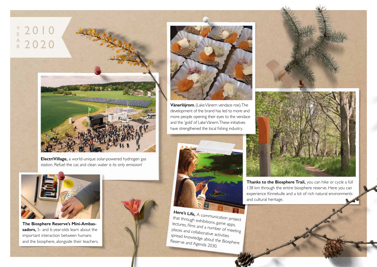



**ElectriVillage,** a world-unique solar-powered hydrogen gas station. Refuel the car, and clean water is its only emission!



**The Biosphere Reserve's Mini-Ambassadors,** 5- and 6-year-olds learn about the important interaction between humans and the biosphere, alongside their teachers.





**Vänerlöjrom**, (Lake Vänern vendace roe). The development of the brand has led to more and more people opening their eyes to the vendace and the 'gold' of Lake Vänern. These initiatives have strengthened the local fishing industry.



**Here's Life, A communication project** that through exhibitions, game apps, lectures, films and a number of meeting places and collaborative activities spread knowledge about the Biosphere Reserve and Agenda 2030.



**Thanks to the Biosphere Trail,** you can hike or cycle a full 138 km through the entire biosphere reserve. Here you can experience Kinnekulle and a lot of rich natural environments and cultural heritage.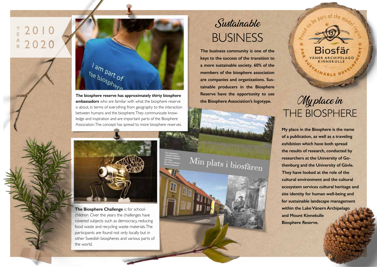# $Y_{E}$  2010  $A$  2020



**The biosphere reserve has approximately thirty biosphere ambassadors** who are familiar with what the biosphere reserve is about, in terms of everything from geography to the interaction between humans and the biosphere. They communicate knowledge and inspiration and are important parts of the Biosphere Association. The concept has spread to more biosphere reserves.

### Sustainable **BUSINESS**

**The business community is one of the keys to the success of the transition to a more sustainable society. 60% of the members of the biosphere association are companies and organizations. Sustainable producers in the Biosphere Reserve have the opportunity to use the Biosphere Association's logotype.**



**The Biosphere Challenge** is for schoolchildren. Over the years the challenges have covered subjects such as democracy, reducing food waste and recycling waste materials. The participants are found not only locally but in other Swedish biospheres and various parts of the world.

Min plats i biosfären

## My place in **THE BIOSPHERE**

Biosfär

FAINABLE DE

**My place in the Biosphere is the name of a publication, as well as a traveling exhibition which have both spread the results of research, conducted by researchers at the University of Gothenburg and the University of Gävle. They have looked at the role of the cultural environment and the cultural ecosystem services cultural heritage and site identity for human well-being and for sustainable landscape management within the Lake Vänern Archipelago and Mount Kinnekulle Biosphere Reserve.**